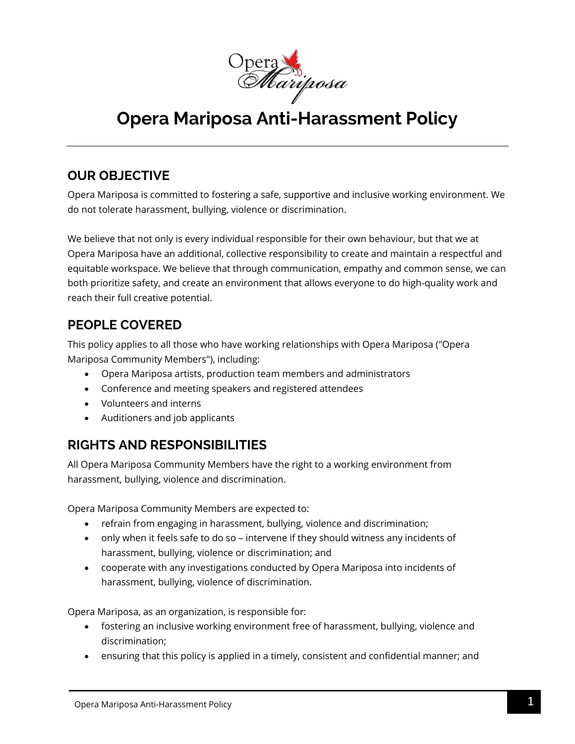

# **Opera Mariposa Anti-Harassment Policy**

### **OUR OBJECTIVE**

Opera Mariposa is committed to fostering a safe, supportive and inclusive working environment. We do not tolerate harassment, bullying, violence or discrimination.

We believe that not only is every individual responsible for their own behaviour, but that we at Opera Mariposa have an additional, collective responsibility to create and maintain a respectful and equitable workspace. We believe that through communication, empathy and common sense, we can both prioritize safety, and create an environment that allows everyone to do high-quality work and reach their full creative potential.

#### **PEOPLE COVERED**

This policy applies to all those who have working relationships with Opera Mariposa ("Opera Mariposa Community Members"), including:

- Opera Mariposa artists, production team members and administrators
- Conference and meeting speakers and registered attendees
- Volunteers and interns
- Auditioners and job applicants

# **RIGHTS AND RESPONSIBILITIES**

All Opera Mariposa Community Members have the right to a working environment from harassment, bullying, violence and discrimination.

Opera Mariposa Community Members are expected to:

- refrain from engaging in harassment, bullying, violence and discrimination;
- only when it feels safe to do so intervene if they should witness any incidents of harassment, bullying, violence or discrimination; and
- cooperate with any investigations conducted by Opera Mariposa into incidents of harassment, bullying, violence of discrimination.

Opera Mariposa, as an organization, is responsible for:

- fostering an inclusive working environment free of harassment, bullying, violence and discrimination;
- ensuring that this policy is applied in a timely, consistent and confidential manner; and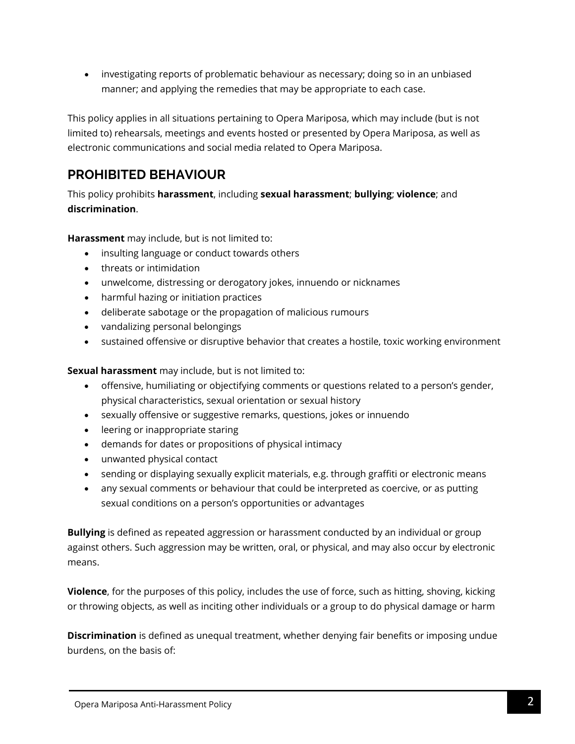• investigating reports of problematic behaviour as necessary; doing so in an unbiased manner; and applying the remedies that may be appropriate to each case.

This policy applies in all situations pertaining to Opera Mariposa, which may include (but is not limited to) rehearsals, meetings and events hosted or presented by Opera Mariposa, as well as electronic communications and social media related to Opera Mariposa.

## **PROHIBITED BEHAVIOUR**

This policy prohibits **harassment**, including **sexual harassment**; **bullying**; **violence**; and **discrimination**.

**Harassment** may include, but is not limited to:

- insulting language or conduct towards others
- threats or intimidation
- unwelcome, distressing or derogatory jokes, innuendo or nicknames
- harmful hazing or initiation practices
- deliberate sabotage or the propagation of malicious rumours
- vandalizing personal belongings
- sustained offensive or disruptive behavior that creates a hostile, toxic working environment

**Sexual harassment** may include, but is not limited to:

- offensive, humiliating or objectifying comments or questions related to a person's gender, physical characteristics, sexual orientation or sexual history
- sexually offensive or suggestive remarks, questions, jokes or innuendo
- leering or inappropriate staring
- demands for dates or propositions of physical intimacy
- unwanted physical contact
- sending or displaying sexually explicit materials, e.g. through graffiti or electronic means
- any sexual comments or behaviour that could be interpreted as coercive, or as putting sexual conditions on a person's opportunities or advantages

**Bullying** is defined as repeated aggression or harassment conducted by an individual or group against others. Such aggression may be written, oral, or physical, and may also occur by electronic means.

**Violence**, for the purposes of this policy, includes the use of force, such as hitting, shoving, kicking or throwing objects, as well as inciting other individuals or a group to do physical damage or harm

**Discrimination** is defined as unequal treatment, whether denying fair benefits or imposing undue burdens, on the basis of: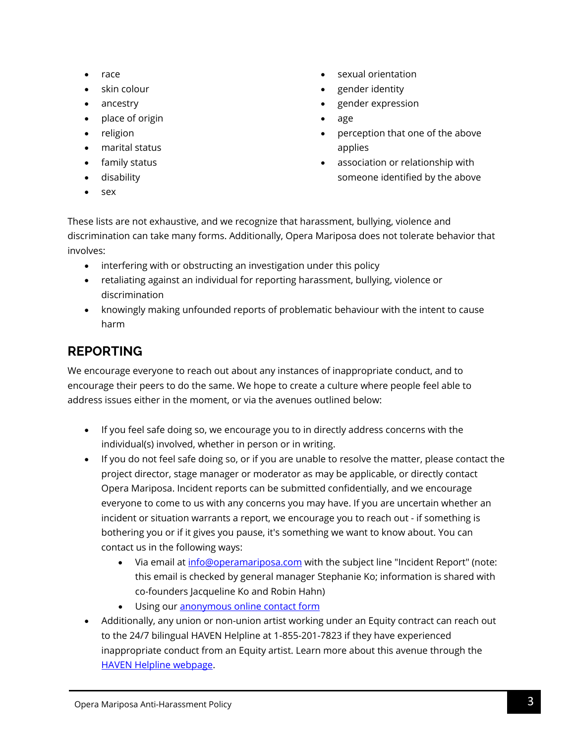- race
- skin colour
- ancestry
- place of origin
- religion
- marital status
- family status
- disability
- sex
- sexual orientation
- gender identity
- gender expression
- age
- perception that one of the above applies
- association or relationship with someone identified by the above
- These lists are not exhaustive, and we recognize that harassment, bullying, violence and discrimination can take many forms. Additionally, Opera Mariposa does not tolerate behavior that involves:
	- interfering with or obstructing an investigation under this policy
	- retaliating against an individual for reporting harassment, bullying, violence or discrimination
	- knowingly making unfounded reports of problematic behaviour with the intent to cause harm

# **REPORTING**

We encourage everyone to reach out about any instances of inappropriate conduct, and to encourage their peers to do the same. We hope to create a culture where people feel able to address issues either in the moment, or via the avenues outlined below:

- If you feel safe doing so, we encourage you to in directly address concerns with the individual(s) involved, whether in person or in writing.
- If you do not feel safe doing so, or if you are unable to resolve the matter, please contact the project director, stage manager or moderator as may be applicable, or directly contact Opera Mariposa. Incident reports can be submitted confidentially, and we encourage everyone to come to us with any concerns you may have. If you are uncertain whether an incident or situation warrants a report, we encourage you to reach out - if something is bothering you or if it gives you pause, it's something we want to know about. You can contact us in the following ways:
	- Via email at *info@operamariposa.com* with the subject line "Incident Report" (note: this email is checked by general manager Stephanie Ko; information is shared with co-founders Jacqueline Ko and Robin Hahn)
	- Using ou[r anonymous online contact form](https://forms.gle/fHmZSqUDVQ12StSy6)
- Additionally, any union or non-union artist working under an Equity contract can reach out to the 24/7 bilingual HAVEN Helpline at 1-855-201-7823 if they have experienced inappropriate conduct from an Equity artist. Learn more about this avenue through the [HAVEN Helpline webpage.](https://www.caea.com/Features/Haven-Helpline)